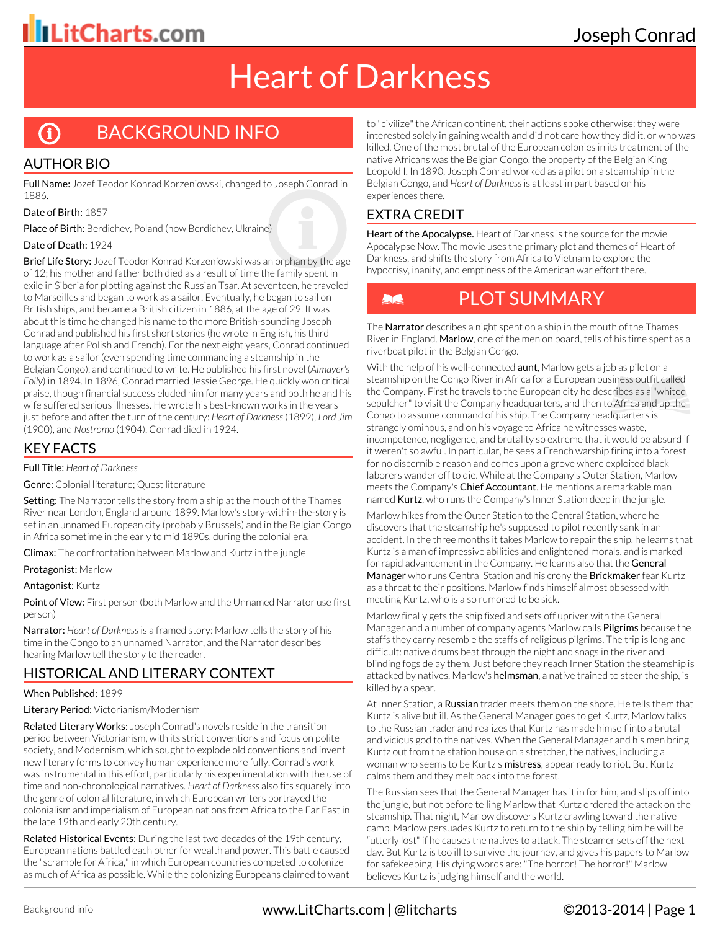## Joseph Conrad

## Heart of Darkness

#### BACKGROUND INFO G

#### AUTHOR BIO

Full Name: Jozef Teodor Konrad Korzeniowski, changed to Joseph Conrad in 1886.

Date of Birth: 1857

Place of Birth: Berdichev, Poland (now Berdichev, Ukraine)

#### Date of Death: 1924

Brief Life Story: Jozef Teodor Konrad Korzeniowski was an orphan by the age of 12; his mother and father both died as a result of time the family spent in exile in Siberia for plotting against the Russian Tsar. At seventeen, he traveled to Marseilles and began to work as a sailor. Eventually, he began to sail on British ships, and became a British citizen in 1886, at the age of 29. It was about this time he changed his name to the more British-sounding Joseph Conrad and published his first short stories (he wrote in English, his third language after Polish and French). For the next eight years, Conrad continued to work as a sailor (even spending time commanding a steamship in the Belgian Congo), and continued to write. He published his first novel (*Almayer's Folly*) in 1894. In 1896, Conrad married Jessie George. He quickly won critical praise, though financial success eluded him for many years and both he and his wife suffered serious illnesses. He wrote his best-known works in the years just before and after the turn of the century: *Heart of Darkness* (1899), *Lord Jim* (1900), and *Nostromo* (1904). Conrad died in 1924.

#### KEY FACTS

#### Full Title: *Heart of Darkness*

Genre: Colonial literature; Quest literature

Setting: The Narrator tells the story from a ship at the mouth of the Thames River near London, England around 1899. Marlow's story-within-the-story is set in an unnamed European city (probably Brussels) and in the Belgian Congo in Africa sometime in the early to mid 1890s, during the colonial era.

Climax: The confrontation between Marlow and Kurtz in the jungle

Protagonist: Marlow

#### Antagonist: Kurtz

Point of View: First person (both Marlow and the Unnamed Narrator use first person)

Narrator: *Heart of Darkness* is a framed story: Marlow tells the story of his time in the Congo to an unnamed Narrator, and the Narrator describes hearing Marlow tell the story to the reader.

#### HISTORICAL AND LITERARY CONTEXT

#### When Published: 1899

Literary Period: Victorianism/Modernism

Related Literary Works: Joseph Conrad's novels reside in the transition period between Victorianism, with its strict conventions and focus on polite society, and Modernism, which sought to explode old conventions and invent new literary forms to convey human experience more fully. Conrad's work was instrumental in this effort, particularly his experimentation with the use of time and non-chronological narratives. *Heart of Darkness* also fits squarely into the genre of colonial literature, in which European writers portrayed the colonialism and imperialism of European nations from Africa to the Far East in the late 19th and early 20th century.

Related Historical Events: During the last two decades of the 19th century, European nations battled each other for wealth and power. This battle caused the "scramble for Africa," in which European countries competed to colonize as much of Africa as possible. While the colonizing Europeans claimed to want

to "civilize" the African continent, their actions spoke otherwise: they were interested solely in gaining wealth and did not care how they did it, or who was killed. One of the most brutal of the European colonies in its treatment of the native Africans was the Belgian Congo, the property of the Belgian King Leopold I. In 1890, Joseph Conrad worked as a pilot on a steamship in the Belgian Congo, and *Heart of Darkness* is at least in part based on his experiences there.

#### EXTRA CREDIT

Heart of the Apocalypse. Heart of Darkness is the source for the movie Apocalypse Now. The movie uses the primary plot and themes of Heart of Darkness, and shifts the story from Africa to Vietnam to explore the hypocrisy, inanity, and emptiness of the American war effort there.



### PLOT SUMMARY

The Narrator describes a night spent on a ship in the mouth of the Thames River in England. Marlow, one of the men on board, tells of his time spent as a riverboat pilot in the Belgian Congo.

With the help of his well-connected **aunt**, Marlow gets a job as pilot on a steamship on the Congo River in Africa for a European business outfit called the Company. First he travels to the European city he describes as a "whited sepulcher" to visit the Company headquarters, and then to Africa and up the Congo to assume command of his ship. The Company headquarters is strangely ominous, and on his voyage to Africa he witnesses waste, incompetence, negligence, and brutality so extreme that it would be absurd if it weren't so awful. In particular, he sees a French warship firing into a forest for no discernible reason and comes upon a grove where exploited black laborers wander off to die. While at the Company's Outer Station, Marlow meets the Company's Chief Accountant. He mentions a remarkable man named Kurtz, who runs the Company's Inner Station deep in the jungle.

Marlow hikes from the Outer Station to the Central Station, where he discovers that the steamship he's supposed to pilot recently sank in an accident. In the three months it takes Marlow to repair the ship, he learns that Kurtz is a man of impressive abilities and enlightened morals, and is marked for rapid advancement in the Company. He learns also that the General Manager who runs Central Station and his crony the Brickmaker fear Kurtz as a threat to their positions. Marlow finds himself almost obsessed with meeting Kurtz, who is also rumored to be sick.

Marlow finally gets the ship fixed and sets off upriver with the General Manager and a number of company agents Marlow calls **Pilgrims** because the staffs they carry resemble the staffs of religious pilgrims. The trip is long and difficult: native drums beat through the night and snags in the river and blinding fogs delay them. Just before they reach Inner Station the steamship is attacked by natives. Marlow's **helmsman**, a native trained to steer the ship, is killed by a spear.

At Inner Station, a Russian trader meets them on the shore. He tells them that Kurtz is alive but ill. As the General Manager goes to get Kurtz, Marlow talks to the Russian trader and realizes that Kurtz has made himself into a brutal and vicious god to the natives. When the General Manager and his men bring Kurtz out from the station house on a stretcher, the natives, including a woman who seems to be Kurtz's mistress, appear ready to riot. But Kurtz calms them and they melt back into the forest.

The Russian sees that the General Manager has it in for him, and slips off into the jungle, but not before telling Marlow that Kurtz ordered the attack on the steamship. That night, Marlow discovers Kurtz crawling toward the native camp. Marlow persuades Kurtz to return to the ship by telling him he will be "utterly lost" if he causes the natives to attack. The steamer sets off the next day. But Kurtz is too ill to survive the journey, and gives his papers to Marlow for safekeeping. His dying words are: "The horror! The horror!" Marlow believes Kurtz is judging himself and the world.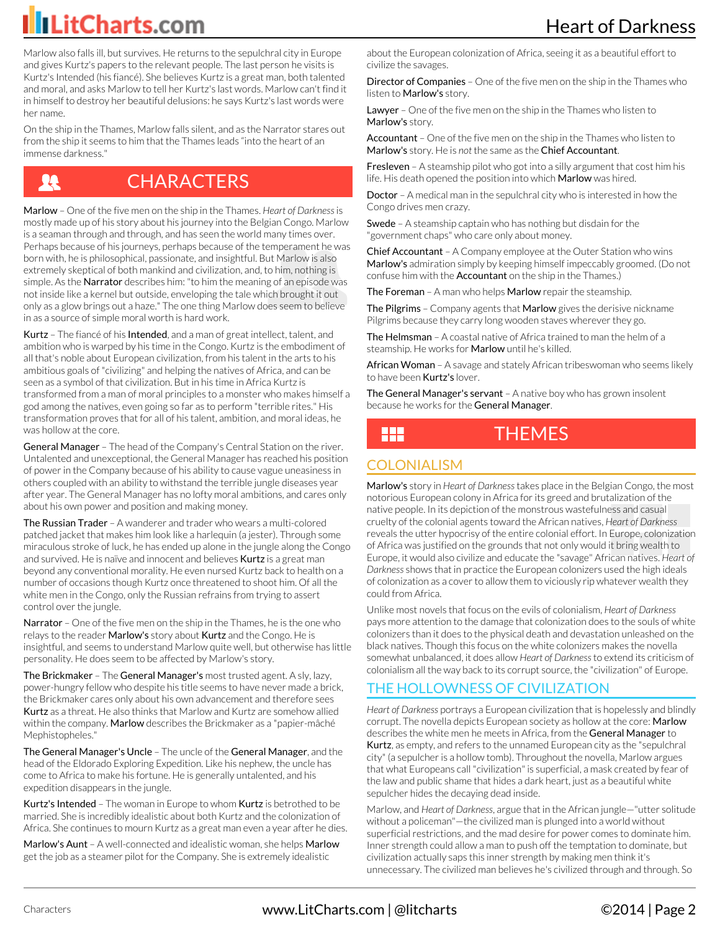Marlow also falls ill, but survives. He returns to the sepulchral city in Europe and gives Kurtz's papers to the relevant people. The last person he visits is Kurtz's Intended (his fiancé). She believes Kurtz is a great man, both talented and moral, and asks Marlow to tell her Kurtz's last words. Marlow can't find it in himself to destroy her beautiful delusions: he says Kurtz's last words were her name.

On the ship in the Thames, Marlow falls silent, and as the Narrator stares out from the ship it seems to him that the Thames leads "into the heart of an immense darkness."

### IJ

### **CHARACTERS**

Marlow – One of the five men on the ship in the Thames. *Heart of Darkness* is mostly made up of his story about his journey into the Belgian Congo. Marlow is a seaman through and through, and has seen the world many times over. Perhaps because of his journeys, perhaps because of the temperament he was born with, he is philosophical, passionate, and insightful. But Marlow is also extremely skeptical of both mankind and civilization, and, to him, nothing is simple. As the Narrator describes him: "to him the meaning of an episode was not inside like a kernel but outside, enveloping the tale which brought it out only as a glow brings out a haze." The one thing Marlow does seem to believe in as a source of simple moral worth is hard work.

Kurtz - The fiancé of his Intended, and a man of great intellect, talent, and ambition who is warped by his time in the Congo. Kurtz is the embodiment of all that's noble about European civilization, from his talent in the arts to his ambitious goals of "civilizing" and helping the natives of Africa, and can be seen as a symbol of that civilization. But in his time in Africa Kurtz is transformed from a man of moral principles to a monster who makes himself a god among the natives, even going so far as to perform "terrible rites." His transformation proves that for all of his talent, ambition, and moral ideas, he was hollow at the core.

General Manager - The head of the Company's Central Station on the river. Untalented and unexceptional, the General Manager has reached his position of power in the Company because of his ability to cause vague uneasiness in others coupled with an ability to withstand the terrible jungle diseases year after year. The General Manager has no lofty moral ambitions, and cares only about his own power and position and making money.

The Russian Trader - A wanderer and trader who wears a multi-colored patched jacket that makes him look like a harlequin (a jester). Through some miraculous stroke of luck, he has ended up alone in the jungle along the Congo and survived. He is naïve and innocent and believes **Kurtz** is a great man beyond any conventional morality. He even nursed Kurtz back to health on a number of occasions though Kurtz once threatened to shoot him. Of all the white men in the Congo, only the Russian refrains from trying to assert control over the jungle.

Narrator – One of the five men on the ship in the Thames, he is the one who relays to the reader Marlow's story about Kurtz and the Congo. He is insightful, and seems to understand Marlow quite well, but otherwise has little personality. He does seem to be affected by Marlow's story.

The Brickmaker – The General Manager's most trusted agent. A sly, lazy, power-hungry fellow who despite his title seems to have never made a brick, the Brickmaker cares only about his own advancement and therefore sees Kurtz as a threat. He also thinks that Marlow and Kurtz are somehow allied within the company. Marlow describes the Brickmaker as a "papier-mâché Mephistopheles."

The General Manager's Uncle – The uncle of the General Manager, and the head of the Eldorado Exploring Expedition. Like his nephew, the uncle has come to Africa to make his fortune. He is generally untalented, and his expedition disappears in the jungle.

Kurtz's Intended - The woman in Europe to whom Kurtz is betrothed to be married. She is incredibly idealistic about both Kurtz and the colonization of Africa. She continues to mourn Kurtz as a great man even a year after he dies.

Marlow's Aunt - A well-connected and idealistic woman, she helps Marlow get the job as a steamer pilot for the Company. She is extremely idealistic

about the European colonization of Africa, seeing it as a beautiful effort to civilize the savages.

**Director of Companies** – One of the five men on the ship in the Thames who listen to Marlow's story.

Lawyer - One of the five men on the ship in the Thames who listen to Marlow's story.

Accountant - One of the five men on the ship in the Thames who listen to Marlow's story. He is *not* the same as the Chief Accountant.

Fresleven - A steamship pilot who got into a silly argument that cost him his life. His death opened the position into which Marlow was hired.

Doctor – A medical man in the sepulchral city who is interested in how the Congo drives men crazy.

Swede - A steamship captain who has nothing but disdain for the "government chaps" who care only about money.

Chief Accountant - A Company employee at the Outer Station who wins Marlow's admiration simply by keeping himself impeccably groomed. (Do not confuse him with the **Accountant** on the ship in the Thames.)

The Foreman – A man who helps Marlow repair the steamship.

The Pilgrims - Company agents that Marlow gives the derisive nickname Pilgrims because they carry long wooden staves wherever they go.

The Helmsman – A coastal native of Africa trained to man the helm of a steamship. He works for Marlow until he's killed.

African Woman - A savage and stately African tribeswoman who seems likely to have been Kurtz's lover.

The General Manager's servant - A native boy who has grown insolent because he works for the General Manager.

### THEMES

#### COLONIALISM

Marlow's story in *Heart of Darkness* takes place in the Belgian Congo, the most notorious European colony in Africa for its greed and brutalization of the native people. In its depiction of the monstrous wastefulness and casual cruelty of the colonial agents toward the African natives, *Heart of Darkness* reveals the utter hypocrisy of the entire colonial effort. In Europe, colonization of Africa was justified on the grounds that not only would it bring wealth to Europe, it would also civilize and educate the "savage" African natives. *Heart of Darkness* shows that in practice the European colonizers used the high ideals of colonization as a cover to allow them to viciously rip whatever wealth they could from Africa.

Unlike most novels that focus on the evils of colonialism, *Heart of Darkness* pays more attention to the damage that colonization does to the souls of white colonizers than it does to the physical death and devastation unleashed on the black natives. Though this focus on the white colonizers makes the novella somewhat unbalanced, it does allow *Heart of Darkness* to extend its criticism of colonialism all the way back to its corrupt source, the "civilization" of Europe.

#### THE HOLLOWNESS OF CIVILIZATION

*Heart of Darkness* portrays a European civilization that is hopelessly and blindly corrupt. The novella depicts European society as hollow at the core: Marlow describes the white men he meets in Africa, from the General Manager to Kurtz, as empty, and refers to the unnamed European city as the "sepulchral city" (a sepulcher is a hollow tomb). Throughout the novella, Marlow argues that what Europeans call "civilization" is superficial, a mask created by fear of the law and public shame that hides a dark heart, just as a beautiful white sepulcher hides the decaying dead inside.

Marlow, and *Heart of Darkness*, argue that in the African jungle—"utter solitude without a policeman"—the civilized man is plunged into a world without superficial restrictions, and the mad desire for power comes to dominate him. Inner strength could allow a man to push off the temptation to dominate, but civilization actually saps this inner strength by making men think it's unnecessary. The civilized man believes he's civilized through and through. So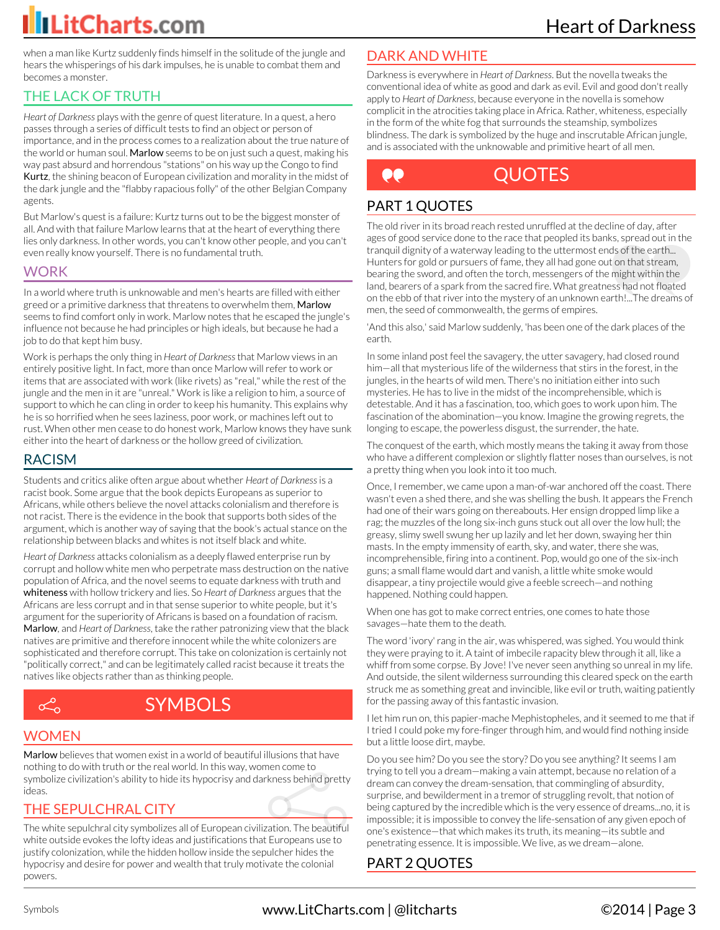when a man like Kurtz suddenly finds himself in the solitude of the jungle and hears the whisperings of his dark impulses, he is unable to combat them and becomes a monster.

#### THE LACK OF TRUTH

*Heart of Darkness* plays with the genre of quest literature. In a quest, a hero passes through a series of difficult tests to find an object or person of importance, and in the process comes to a realization about the true nature of the world or human soul. Marlow seems to be on just such a quest, making his way past absurd and horrendous "stations" on his way up the Congo to find Kurtz, the shining beacon of European civilization and morality in the midst of the dark jungle and the "flabby rapacious folly" of the other Belgian Company agents.

But Marlow's quest is a failure: Kurtz turns out to be the biggest monster of all. And with that failure Marlow learns that at the heart of everything there lies only darkness. In other words, you can't know other people, and you can't even really know yourself. There is no fundamental truth.

#### WORK

In a world where truth is unknowable and men's hearts are filled with either greed or a primitive darkness that threatens to overwhelm them, Marlow seems to find comfort only in work. Marlow notes that he escaped the jungle's influence not because he had principles or high ideals, but because he had a job to do that kept him busy.

Work is perhaps the only thing in *Heart of Darkness* that Marlow views in an entirely positive light. In fact, more than once Marlow will refer to work or items that are associated with work (like rivets) as "real," while the rest of the jungle and the men in it are "unreal." Work is like a religion to him, a source of support to which he can cling in order to keep his humanity. This explains why he is so horrified when he sees laziness, poor work, or machines left out to rust. When other men cease to do honest work, Marlow knows they have sunk either into the heart of darkness or the hollow greed of civilization.

#### RACISM

Students and critics alike often argue about whether *Heart of Darkness* is a racist book. Some argue that the book depicts Europeans as superior to Africans, while others believe the novel attacks colonialism and therefore is not racist. There is the evidence in the book that supports both sides of the argument, which is another way of saying that the book's actual stance on the relationship between blacks and whites is not itself black and white.

*Heart of Darkness* attacks colonialism as a deeply flawed enterprise run by corrupt and hollow white men who perpetrate mass destruction on the native population of Africa, and the novel seems to equate darkness with truth and whiteness with hollow trickery and lies. So *Heart of Darkness* argues that the Africans are less corrupt and in that sense superior to white people, but it's argument for the superiority of Africans is based on a foundation of racism. Marlow, and *Heart of Darkness*, take the rather patronizing view that the black natives are primitive and therefore innocent while the white colonizers are sophisticated and therefore corrupt. This take on colonization is certainly not "politically correct," and can be legitimately called racist because it treats the natives like objects rather than as thinking people.



### **SYMBOLS**

#### **WOMEN**

Marlow believes that women exist in a world of beautiful illusions that have nothing to do with truth or the real world. In this way, women come to symbolize civilization's ability to hide its hypocrisy and darkness behind pretty ideas.

#### THE SEPULCHRAL CITY

The white sepulchral city symbolizes all of European civilization. The beautiful white outside evokes the lofty ideas and justifications that Europeans use to justify colonization, while the hidden hollow inside the sepulcher hides the hypocrisy and desire for power and wealth that truly motivate the colonial powers.

### DARK AND WHITE

Darkness is everywhere in *Heart of Darkness*. But the novella tweaks the conventional idea of white as good and dark as evil. Evil and good don't really apply to *Heart of Darkness*, because everyone in the novella is somehow complicit in the atrocities taking place in Africa. Rather, whiteness, especially in the form of the white fog that surrounds the steamship, symbolizes blindness. The dark is symbolized by the huge and inscrutable African jungle, and is associated with the unknowable and primitive heart of all men.

#### QUOTES ee

#### PART 1 QUOTES

The old river in its broad reach rested unruffled at the decline of day, after ages of good service done to the race that peopled its banks, spread out in the tranquil dignity of a waterway leading to the uttermost ends of the earth... Hunters for gold or pursuers of fame, they all had gone out on that stream, bearing the sword, and often the torch, messengers of the might within the land, bearers of a spark from the sacred fire. What greatness had not floated on the ebb of that river into the mystery of an unknown earth!...The dreams of men, the seed of commonwealth, the germs of empires.

'And this also,' said Marlow suddenly, 'has been one of the dark places of the earth.

In some inland post feel the savagery, the utter savagery, had closed round him—all that mysterious life of the wilderness that stirs in the forest, in the jungles, in the hearts of wild men. There's no initiation either into such mysteries. He has to live in the midst of the incomprehensible, which is detestable. And it has a fascination, too, which goes to work upon him. The fascination of the abomination—you know. Imagine the growing regrets, the longing to escape, the powerless disgust, the surrender, the hate.

The conquest of the earth, which mostly means the taking it away from those who have a different complexion or slightly flatter noses than ourselves, is not a pretty thing when you look into it too much.

Once, I remember, we came upon a man-of-war anchored off the coast. There wasn't even a shed there, and she was shelling the bush. It appears the French had one of their wars going on thereabouts. Her ensign dropped limp like a rag; the muzzles of the long six-inch guns stuck out all over the low hull; the greasy, slimy swell swung her up lazily and let her down, swaying her thin masts. In the empty immensity of earth, sky, and water, there she was, incomprehensible, firing into a continent. Pop, would go one of the six-inch guns; a small flame would dart and vanish, a little white smoke would disappear, a tiny projectile would give a feeble screech—and nothing happened. Nothing could happen.

When one has got to make correct entries, one comes to hate those savages—hate them to the death.

The word 'ivory' rang in the air, was whispered, was sighed. You would think they were praying to it. A taint of imbecile rapacity blew through it all, like a whiff from some corpse. By Jove! I've never seen anything so unreal in my life. And outside, the silent wilderness surrounding this cleared speck on the earth struck me as something great and invincible, like evil or truth, waiting patiently for the passing away of this fantastic invasion.

I let him run on, this papier-mache Mephistopheles, and it seemed to me that if I tried I could poke my fore-finger through him, and would find nothing inside but a little loose dirt, maybe.

Do you see him? Do you see the story? Do you see anything? It seems I am trying to tell you a dream—making a vain attempt, because no relation of a dream can convey the dream-sensation, that commingling of absurdity, surprise, and bewilderment in a tremor of struggling revolt, that notion of being captured by the incredible which is the very essence of dreams...no, it is impossible; it is impossible to convey the life-sensation of any given epoch of one's existence—that which makes its truth, its meaning—its subtle and penetrating essence. It is impossible. We live, as we dream—alone.

#### PART 2 QUOTES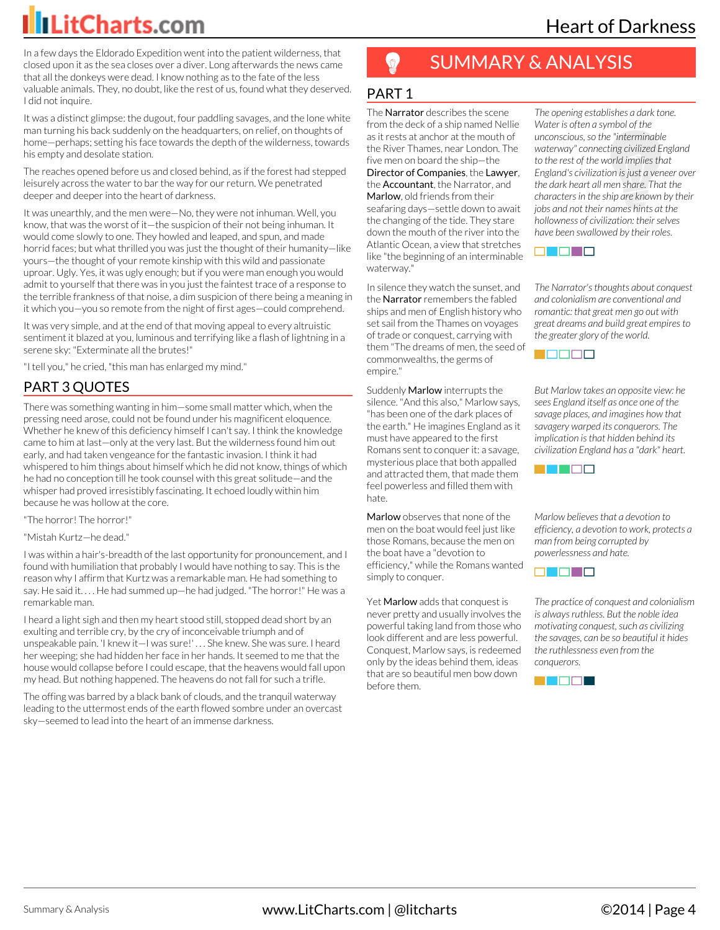Heart of Darkness

In a few days the Eldorado Expedition went into the patient wilderness, that closed upon it as the sea closes over a diver. Long afterwards the news came that all the donkeys were dead. I know nothing as to the fate of the less valuable animals. They, no doubt, like the rest of us, found what they deserved. I did not inquire.

It was a distinct glimpse: the dugout, four paddling savages, and the lone white man turning his back suddenly on the headquarters, on relief, on thoughts of home—perhaps; setting his face towards the depth of the wilderness, towards his empty and desolate station.

The reaches opened before us and closed behind, as if the forest had stepped leisurely across the water to bar the way for our return. We penetrated deeper and deeper into the heart of darkness.

It was unearthly, and the men were—No, they were not inhuman. Well, you know, that was the worst of it—the suspicion of their not being inhuman. It would come slowly to one. They howled and leaped, and spun, and made horrid faces; but what thrilled you was just the thought of their humanity—like yours—the thought of your remote kinship with this wild and passionate uproar. Ugly. Yes, it was ugly enough; but if you were man enough you would admit to yourself that there was in you just the faintest trace of a response to the terrible frankness of that noise, a dim suspicion of there being a meaning in it which you—you so remote from the night of first ages—could comprehend.

It was very simple, and at the end of that moving appeal to every altruistic sentiment it blazed at you, luminous and terrifying like a flash of lightning in a serene sky: "Exterminate all the brutes!"

"I tell you," he cried, "this man has enlarged my mind."

#### PART 3 QUOTES

There was something wanting in him—some small matter which, when the pressing need arose, could not be found under his magnificent eloquence. Whether he knew of this deficiency himself I can't say. I think the knowledge came to him at last—only at the very last. But the wilderness found him out early, and had taken vengeance for the fantastic invasion. I think it had whispered to him things about himself which he did not know, things of which he had no conception till he took counsel with this great solitude—and the whisper had proved irresistibly fascinating. It echoed loudly within him because he was hollow at the core.

"The horror! The horror!"

"Mistah Kurtz—he dead."

I was within a hair's-breadth of the last opportunity for pronouncement, and I found with humiliation that probably I would have nothing to say. This is the reason why I affirm that Kurtz was a remarkable man. He had something to say. He said it. . . . He had summed up—he had judged. "The horror!" He was a remarkable man.

I heard a light sigh and then my heart stood still, stopped dead short by an exulting and terrible cry, by the cry of inconceivable triumph and of unspeakable pain. 'I knew it—I was sure!' . . . She knew. She was sure. I heard her weeping; she had hidden her face in her hands. It seemed to me that the house would collapse before I could escape, that the heavens would fall upon my head. But nothing happened. The heavens do not fall for such a trifle.

The offing was barred by a black bank of clouds, and the tranquil waterway leading to the uttermost ends of the earth flowed sombre under an overcast sky—seemed to lead into the heart of an immense darkness.

### SUMMARY & ANALYSIS

#### PART 1

The **Narrator** describes the scene from the deck of a ship named Nellie as it rests at anchor at the mouth of the River Thames, near London. The five men on board the ship—the Director of Companies, the Lawyer, the **Accountant**, the Narrator, and Marlow, old friends from their seafaring days—settle down to await the changing of the tide. They stare down the mouth of the river into the Atlantic Ocean, a view that stretches like "the beginning of an interminable waterway."

In silence they watch the sunset, and the Narrator remembers the fabled ships and men of English history who set sail from the Thames on voyages of trade or conquest, carrying with them "The dreams of men, the seed of commonwealths, the germs of empire."

Suddenly Marlow interrupts the silence. "And this also," Marlow says, "has been one of the dark places of the earth." He imagines England as it must have appeared to the first Romans sent to conquer it: a savage, mysterious place that both appalled and attracted them, that made them feel powerless and filled them with hate.

Marlow observes that none of the men on the boat would feel just like those Romans, because the men on the boat have a "devotion to efficiency," while the Romans wanted simply to conquer.

Yet **Marlow** adds that conquest is never pretty and usually involves the powerful taking land from those who look different and are less powerful. Conquest, Marlow says, is redeemed only by the ideas behind them, ideas that are so beautiful men bow down before them.

*The opening establishes a dark tone. Water is often a symbol of the unconscious, so the "interminable waterway" connecting civilized England to the rest of the world implies that England's civilization is just a veneer over the dark heart all men share. That the characters in the ship are known by their jobs and not their names hints at the hollowness of civilization: their selves have been swallowed by their roles.*



*The Narrator's thoughts about conquest and colonialism are conventional and romantic: that great men go out with great dreams and build great empires to the greater glory of the world.*



*But Marlow takes an opposite view: he sees England itself as once one of the savage places, and imagines how that savagery warped its conquerors. The implication is that hidden behind its civilization England has a "dark" heart.*



*Marlow believes that a devotion to efficiency, a devotion to work, protects a man from being corrupted by powerlessness and hate.*



*The practice of conquest and colonialism is always ruthless. But the noble idea motivating conquest, such as civilizing the savages, can be so beautiful it hides the ruthlessness even from the conquerors.*

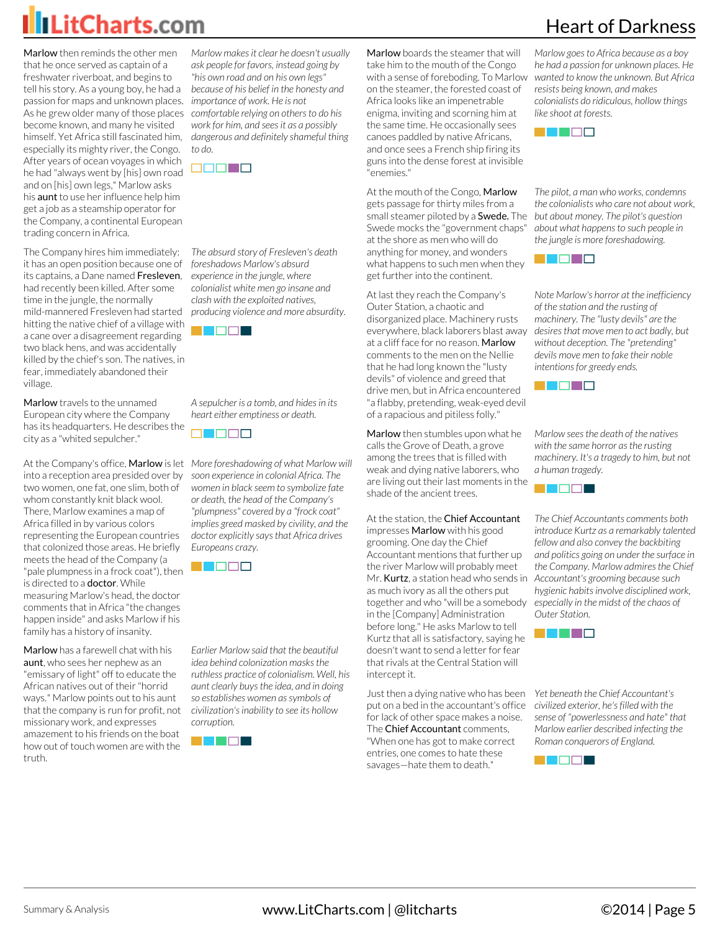Marlow then reminds the other men that he once served as captain of a freshwater riverboat, and begins to tell his story. As a young boy, he had a passion for maps and unknown places. *importance of work. He is not* As he grew older many of those places *comfortable relying on others to do his* become known, and many he visited himself. Yet Africa still fascinated him, especially its mighty river, the Congo. After years of ocean voyages in which he had "always went by [his] own road and on [his] own legs," Marlow asks his aunt to use her influence help him get a job as a steamship operator for the Company, a continental European trading concern in Africa.

The Company hires him immediately: it has an open position because one of its captains, a Dane named Fresleven, had recently been killed. After some time in the jungle, the normally mild-mannered Fresleven had started hitting the native chief of a village with a cane over a disagreement regarding two black hens, and was accidentally killed by the chief's son. The natives, in fear, immediately abandoned their village.

Marlow travels to the unnamed European city where the Company has its headquarters. He describes the city as a "whited sepulcher."

into a reception area presided over by *soon experience in colonial Africa. The* two women, one fat, one slim, both of whom constantly knit black wool. There, Marlow examines a map of Africa filled in by various colors representing the European countries that colonized those areas. He briefly meets the head of the Company (a "pale plumpness in a frock coat"), then is directed to a **doctor**. While measuring Marlow's head, the doctor comments that in Africa "the changes happen inside" and asks Marlow if his family has a history of insanity.

Marlow has a farewell chat with his aunt, who sees her nephew as an "emissary of light" off to educate the African natives out of their "horrid ways." Marlow points out to his aunt that the company is run for profit, not missionary work, and expresses amazement to his friends on the boat how out of touch women are with the truth.

*Marlow makes it clear he doesn't usually ask people for favors, instead going by "his own road and on his own legs" because of his belief in the honesty and work for him, and sees it as a possibly dangerous and definitely shameful thing to do.*



*The absurd story of Fresleven's death foreshadows Marlow's absurd experience in the jungle, where colonialist white men go insane and clash with the exploited natives, producing violence and more absurdity.*



*A sepulcher is a tomb, and hides in its heart either emptiness or death.*



At the Company's office, Marlow is let *More foreshadowing of what Marlow will women in black seem to symbolize fate or death, the head of the Company's "plumpness" covered by a "frock coat" implies greed masked by civility, and the doctor explicitly says that Africa drives Europeans crazy.*



*Earlier Marlow said that the beautiful idea behind colonization masks the ruthless practice of colonialism. Well, his aunt clearly buys the idea, and in doing so establishes women as symbols of civilization's inability to see its hollow corruption.*



Marlow boards the steamer that will take him to the mouth of the Congo with a sense of foreboding. To Marlow *wanted to know the unknown. But Africa* on the steamer, the forested coast of Africa looks like an impenetrable enigma, inviting and scorning him at the same time. He occasionally sees canoes paddled by native Africans, and once sees a French ship firing its guns into the dense forest at invisible "enemies."

At the mouth of the Congo, Marlow gets passage for thirty miles from a small steamer piloted by a Swede. The Swede mocks the "government chaps" at the shore as men who will do anything for money, and wonders what happens to such men when they get further into the continent.

At last they reach the Company's Outer Station, a chaotic and disorganized place. Machinery rusts everywhere, black laborers blast away at a cliff face for no reason. Marlow comments to the men on the Nellie that he had long known the "lusty devils" of violence and greed that drive men, but in Africa encountered "a flabby, pretending, weak-eyed devil of a rapacious and pitiless folly."

Marlow then stumbles upon what he calls the Grove of Death, a grove among the trees that is filled with weak and dying native laborers, who are living out their last moments in the shade of the ancient trees.

#### At the station, the Chief Accountant

impresses Marlow with his good grooming. One day the Chief Accountant mentions that further up the river Marlow will probably meet Mr. **Kurtz**, a station head who sends in as much ivory as all the others put together and who "will be a somebody in the [Company] Administration before long." He asks Marlow to tell Kurtz that all is satisfactory, saying he doesn't want to send a letter for fear that rivals at the Central Station will intercept it.

Just then a dying native who has been put on a bed in the accountant's office for lack of other space makes a noise. The Chief Accountant comments. "When one has got to make correct entries, one comes to hate these savages—hate them to death."

*Marlow goes to Africa because as a boy he had a passion for unknown places. He resists being known, and makes colonialists do ridiculous, hollow things like shoot at forests.*

Heart of Darkness



*The pilot, a man who works, condemns the colonialists who care not about work, but about money. The pilot's question about what happens to such people in the jungle is more foreshadowing.*



*Note Marlow's horror at the inefficiency of the station and the rusting of machinery. The "lusty devils" are the desires that move men to act badly, but without deception. The "pretending" devils move men to fake their noble intentions for greedy ends.*



*Marlow sees the death of the natives with the same horror as the rusting machinery. It's a tragedy to him, but not a human tragedy.*



*The Chief Accountants comments both introduce Kurtz as a remarkably talented fellow and also convey the backbiting and politics going on under the surface in the Company. Marlow admires the Chief Accountant's grooming because such hygienic habits involve disciplined work, especially in the midst of the chaos of Outer Station.*



*Yet beneath the Chief Accountant's civilized exterior, he's filled with the sense of "powerlessness and hate" that Marlow earlier described infecting the Roman conquerors of England.*

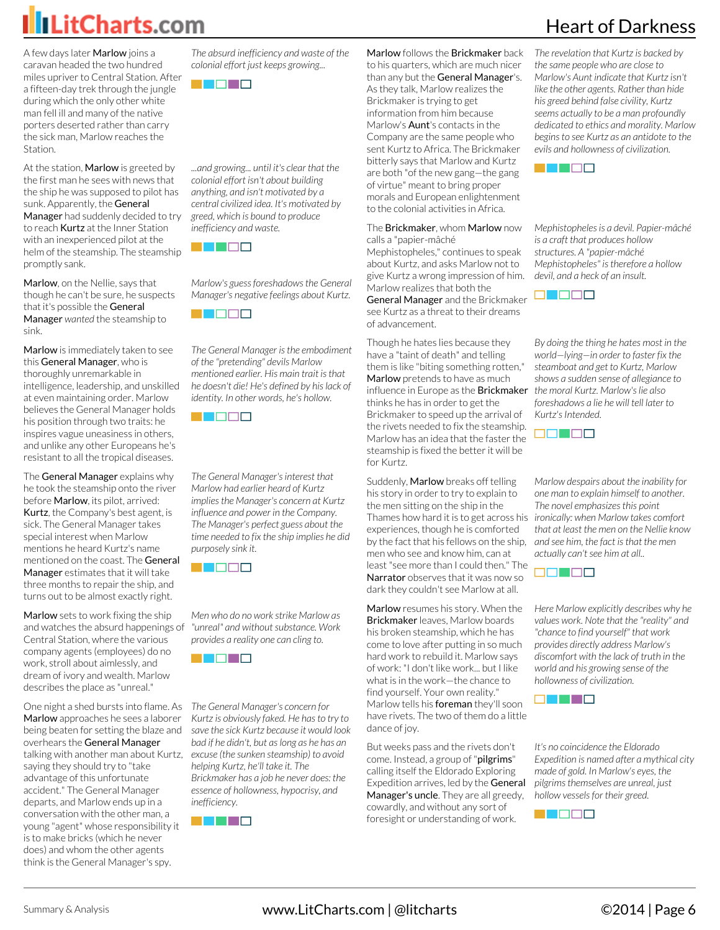A few days later Marlow joins a caravan headed the two hundred miles upriver to Central Station. After a fifteen-day trek through the jungle during which the only other white man fell ill and many of the native porters deserted rather than carry the sick man, Marlow reaches the **Station** 

At the station, Marlow is greeted by the first man he sees with news that the ship he was supposed to pilot has sunk. Apparently, the General Manager had suddenly decided to try to reach Kurtz at the Inner Station with an inexperienced pilot at the helm of the steamship. The steamship promptly sank.

Marlow, on the Nellie, says that though he can't be sure, he suspects that it's possible the General Manager *wanted* the steamship to sink.

Marlow is immediately taken to see this General Manager, who is thoroughly unremarkable in intelligence, leadership, and unskilled at even maintaining order. Marlow believes the General Manager holds his position through two traits: he inspires vague uneasiness in others, and unlike any other Europeans he's resistant to all the tropical diseases.

The General Manager explains why he took the steamship onto the river before Marlow, its pilot, arrived: Kurtz, the Company's best agent, is sick. The General Manager takes special interest when Marlow mentions he heard Kurtz's name mentioned on the coast. The General Manager estimates that it will take three months to repair the ship, and turns out to be almost exactly right.

Marlow sets to work fixing the ship and watches the absurd happenings of Central Station, where the various company agents (employees) do no work, stroll about aimlessly, and dream of ivory and wealth. Marlow describes the place as "unreal."

One night a shed bursts into flame. As Marlow approaches he sees a laborer being beaten for setting the blaze and overhears the General Manager talking with another man about Kurtz, saying they should try to "take advantage of this unfortunate accident." The General Manager departs, and Marlow ends up in a conversation with the other man, a young "agent" whose responsibility it is to make bricks (which he never does) and whom the other agents think is the General Manager's spy.

*The absurd inefficiency and waste of the colonial effort just keeps growing...*



*...and growing... until it's clear that the colonial effort isn't about building anything, and isn't motivated by a central civilized idea. It's motivated by greed, which is bound to produce inefficiency and waste.*



*Marlow's guess foreshadows the General Manager's negative feelings about Kurtz.*



*The General Manager is the embodiment of the "pretending" devils Marlow mentioned earlier. His main trait is that he doesn't die! He's defined by his lack of identity. In other words, he's hollow.*

<u> Filman a</u>

*The General Manager's interest that Marlow had earlier heard of Kurtz implies the Manager's concern at Kurtz influence and power in the Company. The Manager's perfect guess about the time needed to fix the ship implies he did purposely sink it.*



*Men who do no work strike Marlow as "unreal" and without substance. Work provides a reality one can cling to.*



*The General Manager's concern for Kurtz is obviously faked. He has to try to save the sick Kurtz because it would look bad if he didn't, but as long as he has an excuse (the sunken steamship) to avoid helping Kurtz, he'll take it. The Brickmaker has a job he never does: the essence of hollowness, hypocrisy, and inefficiency.*



Marlow follows the Brickmaker back to his quarters, which are much nicer than any but the General Manager's. As they talk, Marlow realizes the Brickmaker is trying to get information from him because Marlow's Aunt's contacts in the Company are the same people who sent Kurtz to Africa. The Brickmaker bitterly says that Marlow and Kurtz are both "of the new gang—the gang of virtue" meant to bring proper morals and European enlightenment to the colonial activities in Africa.

#### The Brickmaker, whom Marlow now calls a "papier-mâché

Mephistopheles," continues to speak about Kurtz, and asks Marlow not to give Kurtz a wrong impression of him. Marlow realizes that both the

General Manager and the Brickmaker see Kurtz as a threat to their dreams of advancement.

Though he hates lies because they have a "taint of death" and telling them is like "biting something rotten," Marlow pretends to have as much influence in Europe as the Brickmaker thinks he has in order to get the Brickmaker to speed up the arrival of the rivets needed to fix the steamship. Marlow has an idea that the faster the steamship is fixed the better it will be for Kurtz.

Suddenly, Marlow breaks off telling his story in order to try to explain to the men sitting on the ship in the Thames how hard it is to get across his experiences, though he is comforted by the fact that his fellows on the ship, men who see and know him, can at least "see more than I could then." The Narrator observes that it was now so dark they couldn't see Marlow at all.

Marlow resumes his story. When the Brickmaker leaves, Marlow boards his broken steamship, which he has come to love after putting in so much hard work to rebuild it. Marlow says of work: "I don't like work... but I like what is in the work—the chance to find yourself. Your own reality." Marlow tells his foreman they'll soon have rivets. The two of them do a little dance of joy.

But weeks pass and the rivets don't come. Instead, a group of "pilgrims" calling itself the Eldorado Exploring Expedition arrives, led by the General Manager's uncle. They are all greedy, cowardly, and without any sort of foresight or understanding of work.

### Heart of Darkness

*The revelation that Kurtz is backed by the same people who are close to Marlow's Aunt indicate that Kurtz isn't like the other agents. Rather than hide his greed behind false civility, Kurtz seems actually to be a man profoundly dedicated to ethics and morality. Marlow begins to see Kurtz as an antidote to the evils and hollowness of civilization.*



*Mephistopheles is a devil. Papier-mâché is a craft that produces hollow structures. A "papier-mâché Mephistopheles" is therefore a hollow devil, and a heck of an insult.*



*By doing the thing he hates most in the world—lying—in order to faster fix the steamboat and get to Kurtz, Marlow shows a sudden sense of allegiance to the moral Kurtz. Marlow's lie also foreshadows a lie he will tell later to Kurtz's Intended.*



*Marlow despairs about the inability for one man to explain himself to another. The novel emphasizes this point ironically: when Marlow takes comfort that at least the men on the Nellie know and see him, the fact is that the men actually can't see him at all..*



*Here Marlow explicitly describes why he values work. Note that the "reality" and "chance to find yourself" that work provides directly address Marlow's discomfort with the lack of truth in the world and his growing sense of the hollowness of civilization.*



*It's no coincidence the Eldorado Expedition is named after a mythical city made of gold. In Marlow's eyes, the pilgrims themselves are unreal, just hollow vessels for their greed.*

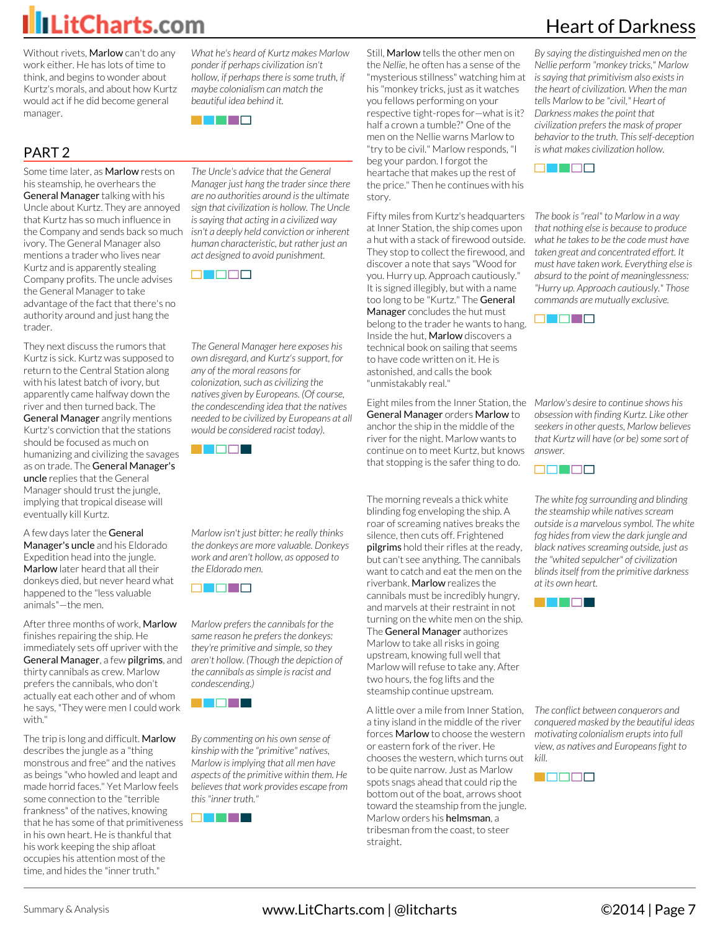Without rivets, Marlow can't do any work either. He has lots of time to think, and begins to wonder about Kurtz's morals, and about how Kurtz would act if he did become general manager.

#### PART 2

Some time later, as Marlow rests on his steamship, he overhears the General Manager talking with his Uncle about Kurtz. They are annoyed that Kurtz has so much influence in the Company and sends back so much ivory. The General Manager also mentions a trader who lives near Kurtz and is apparently stealing Company profits. The uncle advises the General Manager to take advantage of the fact that there's no authority around and just hang the trader.

They next discuss the rumors that Kurtz is sick. Kurtz was supposed to return to the Central Station along with his latest batch of ivory, but apparently came halfway down the river and then turned back. The General Manager angrily mentions Kurtz's conviction that the stations should be focused as much on humanizing and civilizing the savages as on trade. The General Manager's uncle replies that the General Manager should trust the jungle, implying that tropical disease will eventually kill Kurtz.

A few days later the General Manager's uncle and his Eldorado Expedition head into the jungle. Marlow later heard that all their donkeys died, but never heard what happened to the "less valuable animals"—the men.

After three months of work, Marlow finishes repairing the ship. He immediately sets off upriver with the General Manager, a few pilgrims, and thirty cannibals as crew. Marlow prefers the cannibals, who don't actually eat each other and of whom he says, "They were men I could work with."

The trip is long and difficult. Marlow describes the jungle as a "thing monstrous and free" and the natives as beings "who howled and leapt and made horrid faces." Yet Marlow feels some connection to the "terrible frankness" of the natives, knowing that he has some of that primitiveness in his own heart. He is thankful that his work keeping the ship afloat occupies his attention most of the time, and hides the "inner truth."

*What he's heard of Kurtz makes Marlow ponder if perhaps civilization isn't hollow, if perhaps there is some truth, if maybe colonialism can match the beautiful idea behind it.*



*The Uncle's advice that the General Manager just hang the trader since there are no authorities around is the ultimate sign that civilization is hollow. The Uncle is saying that acting in a civilized way isn't a deeply held conviction or inherent human characteristic, but rather just an act designed to avoid punishment.*



*The General Manager here exposes his own disregard, and Kurtz's support, for any of the moral reasons for colonization, such as civilizing the natives given by Europeans. (Of course, the condescending idea that the natives needed to be civilized by Europeans at all would be considered racist today).*



*Marlow isn't just bitter: he really thinks the donkeys are more valuable. Donkeys work and aren't hollow, as opposed to the Eldorado men.*



*Marlow prefers the cannibals for the same reason he prefers the donkeys: they're primitive and simple, so they aren't hollow. (Though the depiction of the cannibals as simple is racist and condescending.)*



*By commenting on his own sense of kinship with the "primitive" natives, Marlow is implying that all men have aspects of the primitive within them. He believes that work provides escape from this "inner truth."*



Still, Marlow tells the other men on the *Nellie*, he often has a sense of the "mysterious stillness" watching him at his "monkey tricks, just as it watches you fellows performing on your respective tight-ropes for—what is it? half a crown a tumble?" One of the men on the Nellie warns Marlow to "try to be civil." Marlow responds, "I beg your pardon. I forgot the heartache that makes up the rest of the price." Then he continues with his story.

Fifty miles from Kurtz's headquarters at Inner Station, the ship comes upon a hut with a stack of firewood outside. They stop to collect the firewood, and discover a note that says "Wood for you. Hurry up. Approach cautiously." It is signed illegibly, but with a name too long to be "Kurtz." The General Manager concludes the hut must belong to the trader he wants to hang. Inside the hut, Marlow discovers a technical book on sailing that seems to have code written on it. He is astonished, and calls the book "unmistakably real."

Eight miles from the Inner Station, the *Marlow's desire to continue shows his* General Manager orders Marlow to anchor the ship in the middle of the river for the night. Marlow wants to continue on to meet Kurtz, but knows that stopping is the safer thing to do.

The morning reveals a thick white blinding fog enveloping the ship. A roar of screaming natives breaks the silence, then cuts off. Frightened pilgrims hold their rifles at the ready, but can't see anything. The cannibals want to catch and eat the men on the riverbank. Marlow realizes the cannibals must be incredibly hungry, and marvels at their restraint in not turning on the white men on the ship. The General Manager authorizes Marlow to take all risks in going upstream, knowing full well that Marlow will refuse to take any. After two hours, the fog lifts and the steamship continue upstream.

A little over a mile from Inner Station, a tiny island in the middle of the river forces Marlow to choose the western or eastern fork of the river. He chooses the western, which turns out to be quite narrow. Just as Marlow spots snags ahead that could rip the bottom out of the boat, arrows shoot toward the steamship from the jungle. Marlow orders his helmsman, a tribesman from the coast, to steer straight.

### Heart of Darkness

*By saying the distinguished men on the Nellie perform "monkey tricks," Marlow is saying that primitivism also exists in the heart of civilization. When the man tells Marlow to be "civil," Heart of Darkness makes the point that civilization prefers the mask of proper behavior to the truth. This self-deception is what makes civilization hollow.*



*The book is "real" to Marlow in a way that nothing else is because to produce what he takes to be the code must have taken great and concentrated effort. It must have taken work. Everything else is absurd to the point of meaninglessness: "Hurry up. Approach cautiously." Those commands are mutually exclusive.*



*obsession with finding Kurtz. Like other seekers in other quests, Marlow believes that Kurtz will have (or be) some sort of answer.*



*The white fog surrounding and blinding the steamship while natives scream outside is a marvelous symbol. The white fog hides from view the dark jungle and black natives screaming outside, just as the "whited sepulcher" of civilization blinds itself from the primitive darkness at its own heart.*



*The conflict between conquerors and conquered masked by the beautiful ideas motivating colonialism erupts into full view, as natives and Europeans fight to kill.*

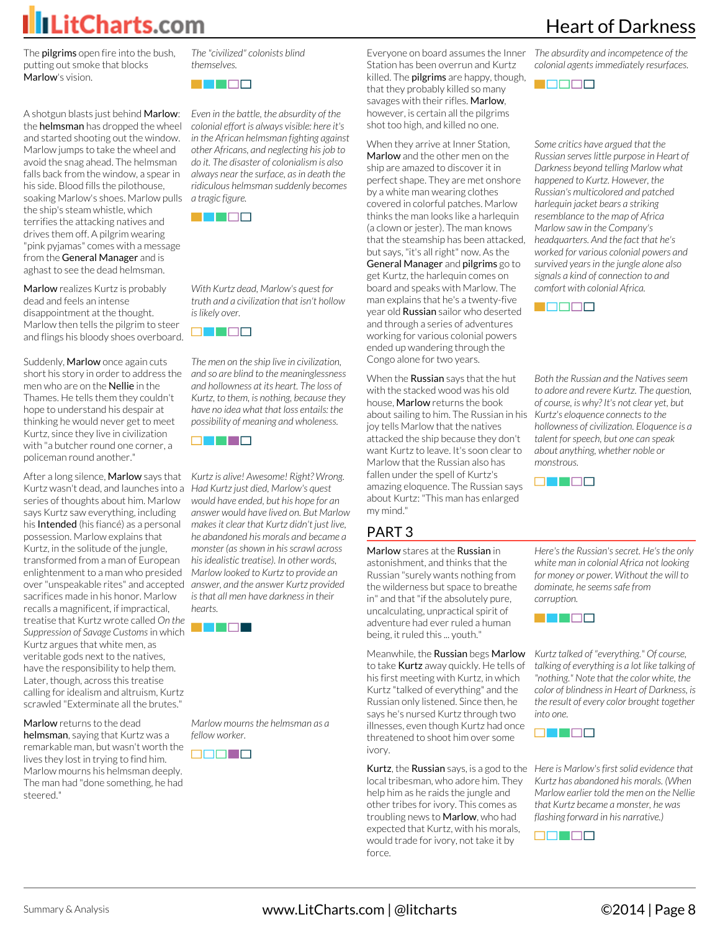

The **pilgrims** open fire into the bush, putting out smoke that blocks Marlow's vision.

A shotgun blasts just behind Marlow: the helmsman has dropped the wheel and started shooting out the window. Marlow jumps to take the wheel and avoid the snag ahead. The helmsman falls back from the window, a spear in his side. Blood fills the pilothouse, soaking Marlow's shoes. Marlow pulls the ship's steam whistle, which terrifies the attacking natives and drives them off. A pilgrim wearing "pink pyjamas" comes with a message from the General Manager and is aghast to see the dead helmsman.

Marlow realizes Kurtz is probably dead and feels an intense disappointment at the thought. Marlow then tells the pilgrim to steer and flings his bloody shoes overboard.

Suddenly, Marlow once again cuts short his story in order to address the men who are on the Nellie in the Thames. He tells them they couldn't hope to understand his despair at thinking he would never get to meet Kurtz, since they live in civilization with "a butcher round one corner, a policeman round another."

After a long silence, Marlow says that Kurtz wasn't dead, and launches into a *Had Kurtz just died, Marlow's quest* series of thoughts about him. Marlow says Kurtz saw everything, including his Intended (his fiancé) as a personal possession. Marlow explains that Kurtz, in the solitude of the jungle, transformed from a man of European enlightenment to a man who presided over "unspeakable rites" and accepted *answer, and the answer Kurtz provided* sacrifices made in his honor. Marlow recalls a magnificent, if impractical, treatise that Kurtz wrote called *On the Suppression of Savage Customs* in which Kurtz argues that white men, as veritable gods next to the natives, have the responsibility to help them. Later, though, across this treatise calling for idealism and altruism, Kurtz scrawled "Exterminate all the brutes."

Marlow returns to the dead helmsman, saying that Kurtz was a remarkable man, but wasn't worth the lives they lost in trying to find him. Marlow mourns his helmsman deeply. The man had "done something, he had steered."

*The "civilized" colonists blind themselves.*



*Even in the battle, the absurdity of the colonial effort is always visible: here it's in the African helmsman fighting against other Africans, and neglecting his job to do it. The disaster of colonialism is also always near the surface, as in death the ridiculous helmsman suddenly becomes a tragic figure.*



*With Kurtz dead, Marlow's quest for truth and a civilization that isn't hollow is likely over.*



*The men on the ship live in civilization, and so are blind to the meaninglessness and hollowness at its heart. The loss of Kurtz, to them, is nothing, because they have no idea what that loss entails: the possibility of meaning and wholeness.*

a di Ba

*Kurtz is alive! Awesome! Right? Wrong. would have ended, but his hope for an answer would have lived on. But Marlow makes it clear that Kurtz didn't just live, he abandoned his morals and became a monster (as shown in his scrawl across his idealistic treatise). In other words, Marlow looked to Kurtz to provide an is that all men have darkness in their hearts.*



*Marlow mourns the helmsman as a fellow worker.*



Everyone on board assumes the Inner Station has been overrun and Kurtz killed. The **pilgrims** are happy, though, that they probably killed so many savages with their rifles. Marlow, however, is certain all the pilgrims shot too high, and killed no one.

When they arrive at Inner Station, Marlow and the other men on the ship are amazed to discover it in perfect shape. They are met onshore by a white man wearing clothes covered in colorful patches. Marlow thinks the man looks like a harlequin (a clown or jester). The man knows that the steamship has been attacked, but says, "it's all right" now. As the General Manager and pilgrims go to get Kurtz, the harlequin comes on board and speaks with Marlow. The man explains that he's a twenty-five year old **Russian** sailor who deserted and through a series of adventures working for various colonial powers ended up wandering through the Congo alone for two years.

When the **Russian** says that the hut with the stacked wood was his old house, Marlow returns the book about sailing to him. The Russian in his *Kurtz's eloquence connects to the* joy tells Marlow that the natives attacked the ship because they don't want Kurtz to leave. It's soon clear to Marlow that the Russian also has fallen under the spell of Kurtz's amazing eloquence. The Russian says about Kurtz: "This man has enlarged my mind."

#### PART 3

Marlow stares at the Russian in astonishment, and thinks that the Russian "surely wants nothing from the wilderness but space to breathe in" and that "if the absolutely pure, uncalculating, unpractical spirit of adventure had ever ruled a human

being, it ruled this ... youth."

Meanwhile, the Russian begs Marlow to take Kurtz away quickly. He tells of his first meeting with Kurtz, in which Kurtz "talked of everything" and the Russian only listened. Since then, he says he's nursed Kurtz through two illnesses, even though Kurtz had once threatened to shoot him over some ivory.

Kurtz, the Russian says, is a god to the *Here is Marlow's first solid evidence that* local tribesman, who adore him. They help him as he raids the jungle and other tribes for ivory. This comes as troubling news to **Marlow**, who had expected that Kurtz, with his morals, would trade for ivory, not take it by force.

Heart of Darkness

*The absurdity and incompetence of the colonial agents immediately resurfaces.*

2 **2 2** 2

*Some critics have argued that the Russian serves little purpose in Heart of Darkness beyond telling Marlow what happened to Kurtz. However, the Russian's multicolored and patched harlequin jacket bears a striking resemblance to the map of Africa Marlow saw in the Company's headquarters. And the fact that he's worked for various colonial powers and survived years in the jungle alone also signals a kind of connection to and comfort with colonial Africa.*



*Both the Russian and the Natives seem to adore and revere Kurtz. The question, of course, is why? It's not clear yet, but hollowness of civilization. Eloquence is a talent for speech, but one can speak about anything, whether noble or monstrous.*



*Here's the Russian's secret. He's the only white man in colonial Africa not looking for money or power. Without the will to dominate, he seems safe from corruption.*



*Kurtz talked of "everything." Of course, talking of everything is a lot like talking of "nothing." Note that the color white, the color of blindness in Heart of Darkness, is the result of every color brought together into one.*



*Kurtz has abandoned his morals. (When Marlow earlier told the men on the Nellie that Kurtz became a monster, he was flashing forward in his narrative.)*

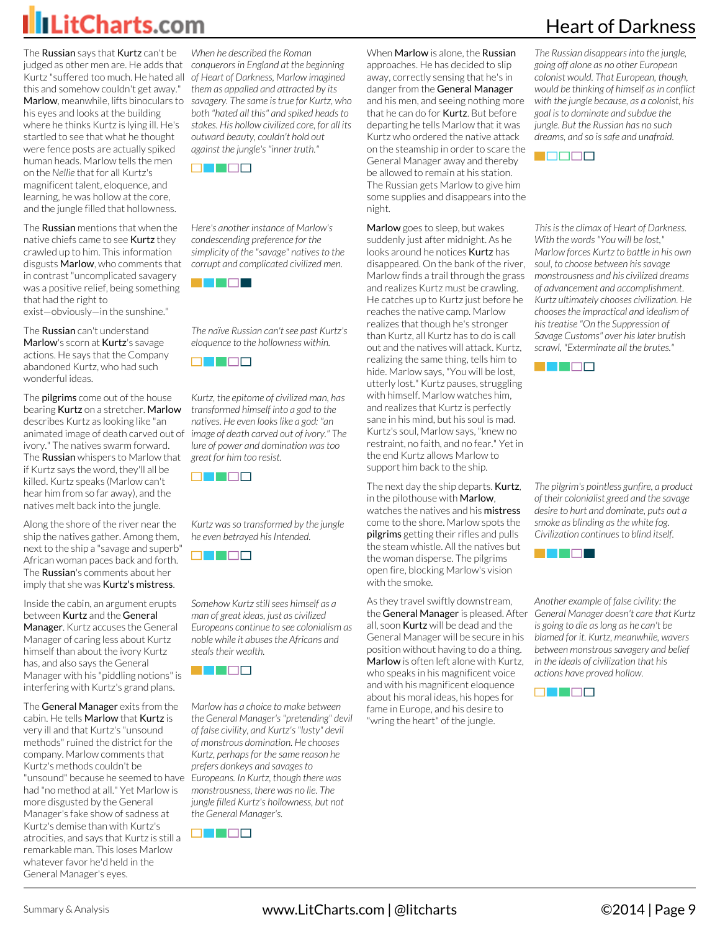The Russian says that Kurtz can't be judged as other men are. He adds that *conquerors in England at the beginning* Kurtz "suffered too much. He hated all *of Heart of Darkness, Marlow imagined* this and somehow couldn't get away." his eyes and looks at the building where he thinks Kurtz is lying ill. He's startled to see that what he thought were fence posts are actually spiked human heads. Marlow tells the men on the *Nellie* that for all Kurtz's magnificent talent, eloquence, and learning, he was hollow at the core, and the jungle filled that hollowness.

The **Russian** mentions that when the native chiefs came to see Kurtz they crawled up to him. This information disgusts Marlow, who comments that in contrast "uncomplicated savagery was a positive relief, being something that had the right to exist—obviously—in the sunshine."

The **Russian** can't understand Marlow's scorn at Kurtz's savage actions. He says that the Company abandoned Kurtz, who had such wonderful ideas.

The **pilgrims** come out of the house bearing Kurtz on a stretcher. Marlow describes Kurtz as looking like "an animated image of death carved out of ivory." The natives swarm forward. The **Russian** whispers to Marlow that if Kurtz says the word, they'll all be killed. Kurtz speaks (Marlow can't hear him from so far away), and the natives melt back into the jungle.

Along the shore of the river near the ship the natives gather. Among them, next to the ship a "savage and superb" African woman paces back and forth. The Russian's comments about her imply that she was Kurtz's mistress.

Inside the cabin, an argument erupts between Kurtz and the General Manager. Kurtz accuses the General Manager of caring less about Kurtz himself than about the ivory Kurtz has, and also says the General Manager with his "piddling notions" is interfering with Kurtz's grand plans.

The General Manager exits from the cabin. He tells Marlow that Kurtz is very ill and that Kurtz's "unsound methods" ruined the district for the company. Marlow comments that Kurtz's methods couldn't be "unsound" because he seemed to have *Europeans. In Kurtz, though there was* had "no method at all." Yet Marlow is more disgusted by the General Manager's fake show of sadness at Kurtz's demise than with Kurtz's atrocities, and says that Kurtz is still a remarkable man. This loses Marlow whatever favor he'd held in the General Manager's eyes.

Marlow, meanwhile, lifts binoculars to *savagery. The same is true for Kurtz, who When he described the Roman them as appalled and attracted by its both "hated all this" and spiked heads to stakes. His hollow civilized core, for all its outward beauty, couldn't hold out against the jungle's "inner truth."*



*Here's another instance of Marlow's condescending preference for the simplicity of the "savage" natives to the corrupt and complicated civilized men.*



*The naïve Russian can't see past Kurtz's eloquence to the hollowness within.*



*Kurtz, the epitome of civilized man, has transformed himself into a god to the natives. He even looks like a god: "an image of death carved out of ivory." The lure of power and domination was too great for him too resist.*



*Kurtz was so transformed by the jungle he even betrayed his Intended.*



*Somehow Kurtz still sees himself as a man of great ideas, just as civilized Europeans continue to see colonialism as noble while it abuses the Africans and steals their wealth.*



*Marlow has a choice to make between the General Manager's "pretending" devil of false civility, and Kurtz's "lusty" devil of monstrous domination. He chooses Kurtz, perhaps for the same reason he prefers donkeys and savages to monstrousness, there was no lie. The jungle filled Kurtz's hollowness, but not the General Manager's.*



When Marlow is alone, the Russian approaches. He has decided to slip away, correctly sensing that he's in danger from the General Manager and his men, and seeing nothing more that he can do for Kurtz. But before departing he tells Marlow that it was Kurtz who ordered the native attack on the steamship in order to scare the General Manager away and thereby be allowed to remain at his station. The Russian gets Marlow to give him some supplies and disappears into the night.

Marlow goes to sleep, but wakes suddenly just after midnight. As he looks around he notices Kurtz has disappeared. On the bank of the river, *soul, to choose between his savage* Marlow finds a trail through the grass and realizes Kurtz must be crawling. He catches up to Kurtz just before he reaches the native camp. Marlow realizes that though he's stronger than Kurtz, all Kurtz has to do is call out and the natives will attack. Kurtz, realizing the same thing, tells him to hide. Marlow says, "You will be lost, utterly lost." Kurtz pauses, struggling with himself. Marlow watches him, and realizes that Kurtz is perfectly sane in his mind, but his soul is mad. Kurtz's soul, Marlow says, "knew no restraint, no faith, and no fear." Yet in the end Kurtz allows Marlow to support him back to the ship.

The next day the ship departs. **Kurtz**, in the pilothouse with Marlow, watches the natives and his mistress come to the shore. Marlow spots the pilgrims getting their rifles and pulls the steam whistle. All the natives but the woman disperse. The pilgrims open fire, blocking Marlow's vision with the smoke.

As they travel swiftly downstream, the General Manager is pleased. After all, soon Kurtz will be dead and the General Manager will be secure in his position without having to do a thing. Marlow is often left alone with Kurtz, who speaks in his magnificent voice and with his magnificent eloquence about his moral ideas, his hopes for fame in Europe, and his desire to "wring the heart" of the jungle.

### Heart of Darkness

*The Russian disappears into the jungle, going off alone as no other European colonist would. That European, though, would be thinking of himself as in conflict with the jungle because, as a colonist, his goal is to dominate and subdue the jungle. But the Russian has no such dreams, and so is safe and unafraid.*



*This is the climax of Heart of Darkness. With the words "You will be lost," Marlow forces Kurtz to battle in his own monstrousness and his civilized dreams of advancement and accomplishment. Kurtz ultimately chooses civilization. He chooses the impractical and idealism of his treatise "On the Suppression of Savage Customs" over his later brutish scrawl, "Exterminate all the brutes."*



*The pilgrim's pointless gunfire, a product of their colonialist greed and the savage desire to hurt and dominate, puts out a smoke as blinding as the white fog. Civilization continues to blind itself.*



*Another example of false civility: the General Manager doesn't care that Kurtz is going to die as long as he can't be blamed for it. Kurtz, meanwhile, wavers between monstrous savagery and belief in the ideals of civilization that his actions have proved hollow.*